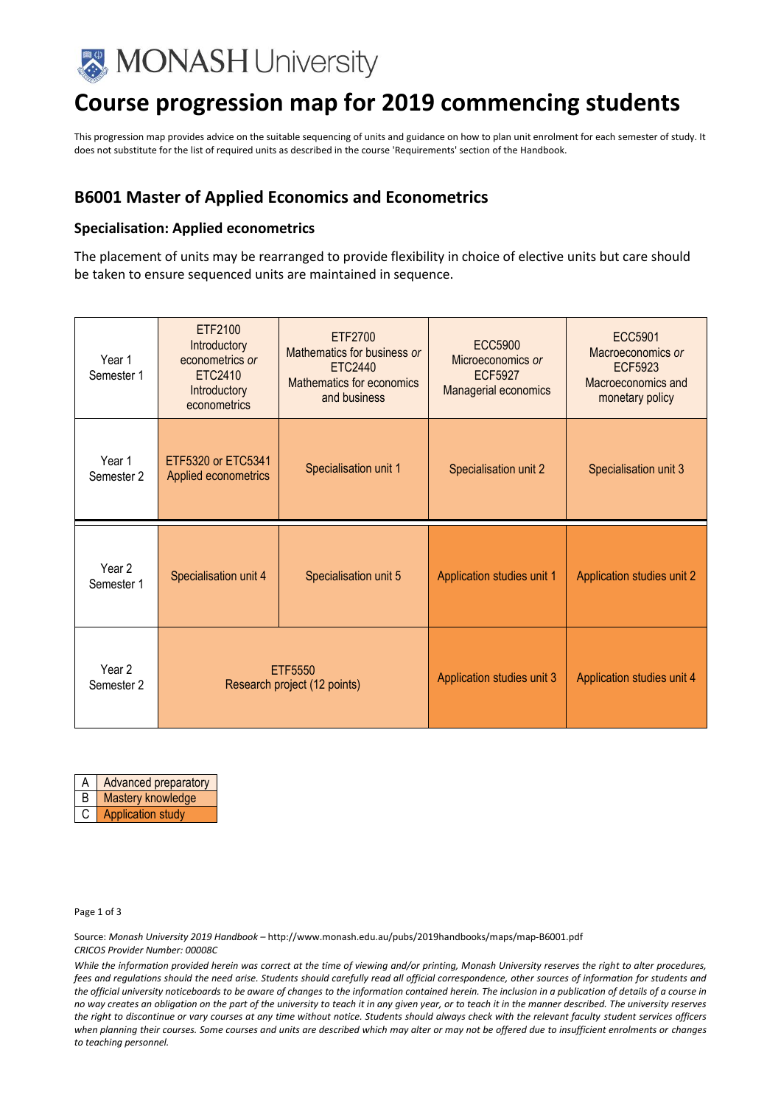

# **Course progression map for 2019 commencing students**

This progression map provides advice on the suitable sequencing of units and guidance on how to plan unit enrolment for each semester of study. It does not substitute for the list of required units as described in the course 'Requirements' section of the Handbook.

### **B6001 Master of Applied Economics and Econometrics**

#### **Specialisation: Applied econometrics**

The placement of units may be rearranged to provide flexibility in choice of elective units but care should be taken to ensure sequenced units are maintained in sequence.

| Year 1<br>Semester 1 | ETF2100<br>Introductory<br>econometrics or<br>ETC2410<br>Introductory<br>econometrics | ETF2700<br>Mathematics for business or<br>ETC2440<br>Mathematics for economics<br>and business | <b>ECC5900</b><br>Microeconomics or<br><b>ECF5927</b><br>Managerial economics | ECC5901<br>Macroeconomics or<br>ECF5923<br>Macroeconomics and<br>monetary policy |
|----------------------|---------------------------------------------------------------------------------------|------------------------------------------------------------------------------------------------|-------------------------------------------------------------------------------|----------------------------------------------------------------------------------|
| Year 1<br>Semester 2 | ETF5320 or ETC5341<br>Applied econometrics                                            | Specialisation unit 1                                                                          | Specialisation unit 2                                                         | Specialisation unit 3                                                            |
| Year 2<br>Semester 1 | Specialisation unit 4                                                                 | Specialisation unit 5                                                                          | Application studies unit 1                                                    | Application studies unit 2                                                       |
| Year 2<br>Semester 2 | ETF5550<br>Research project (12 points)                                               |                                                                                                | Application studies unit 3                                                    | Application studies unit 4                                                       |



Page 1 of 3

Source: *Monash University 2019 Handbook –* http://www.monash.edu.au/pubs/2019handbooks/maps/map-B6001.pdf *CRICOS Provider Number: 00008C*

*While the information provided herein was correct at the time of viewing and/or printing, Monash University reserves the right to alter procedures, fees and regulations should the need arise. Students should carefully read all official correspondence, other sources of information for students and the official university noticeboards to be aware of changes to the information contained herein. The inclusion in a publication of details of a course in no way creates an obligation on the part of the university to teach it in any given year, or to teach it in the manner described. The university reserves the right to discontinue or vary courses at any time without notice. Students should always check with the relevant faculty student services officers when planning their courses. Some courses and units are described which may alter or may not be offered due to insufficient enrolments or changes to teaching personnel.*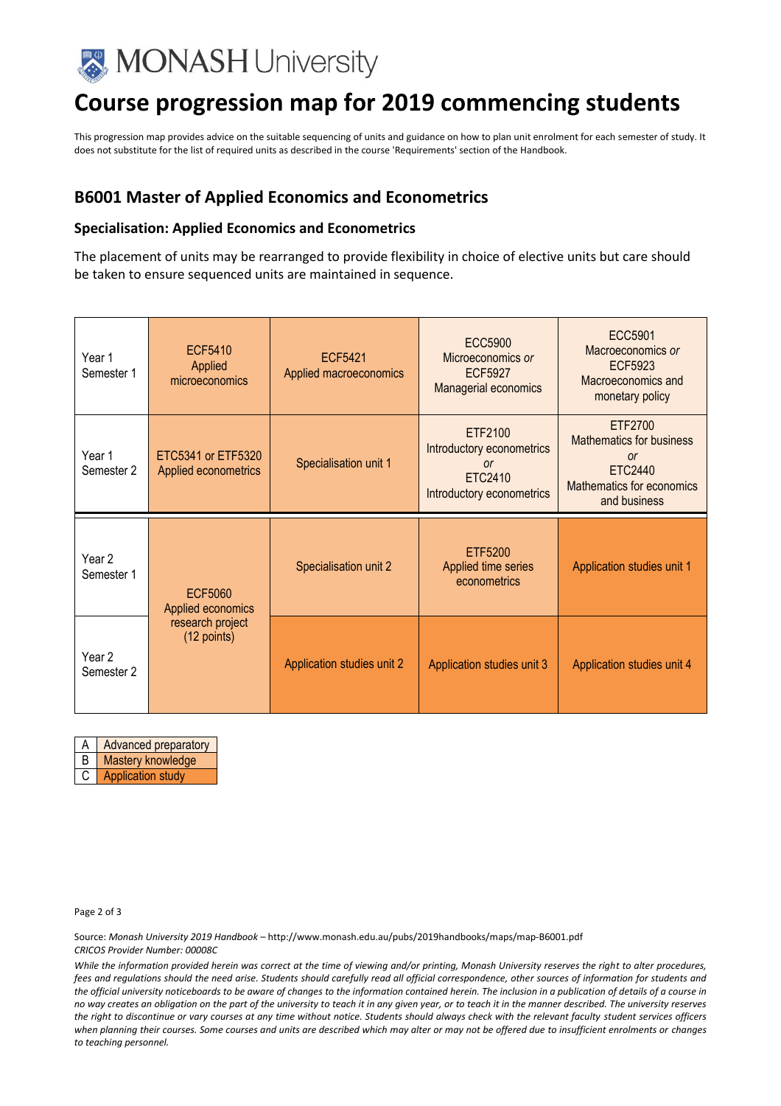

# **Course progression map for 2019 commencing students**

This progression map provides advice on the suitable sequencing of units and guidance on how to plan unit enrolment for each semester of study. It does not substitute for the list of required units as described in the course 'Requirements' section of the Handbook.

### **B6001 Master of Applied Economics and Econometrics**

#### **Specialisation: Applied Economics and Econometrics**

The placement of units may be rearranged to provide flexibility in choice of elective units but care should be taken to ensure sequenced units are maintained in sequence.

| Year 1<br>Semester 1 | <b>ECF5410</b><br>Applied<br>microeconomics | <b>ECF5421</b><br>Applied macroeconomics | ECC5900<br>Microeconomics or<br><b>ECF5927</b><br>Managerial economics                    | <b>ECC5901</b><br>Macroeconomics or<br><b>ECF5923</b><br>Macroeconomics and<br>monetary policy                             |
|----------------------|---------------------------------------------|------------------------------------------|-------------------------------------------------------------------------------------------|----------------------------------------------------------------------------------------------------------------------------|
| Year 1<br>Semester 2 | ETC5341 or ETF5320<br>Applied econometrics  | Specialisation unit 1                    | ETF2100<br>Introductory econometrics<br><b>or</b><br>ETC2410<br>Introductory econometrics | ETF2700<br><b>Mathematics for business</b><br><sub>or</sub><br><b>ETC2440</b><br>Mathematics for economics<br>and business |
| Year 2<br>Semester 1 | <b>ECF5060</b>                              | Specialisation unit 2                    | ETF5200                                                                                   |                                                                                                                            |
|                      | Applied economics                           |                                          | Applied time series<br>econometrics                                                       | Application studies unit 1                                                                                                 |

A **Advanced preparatory** 

B | Mastery knowledge

C | Application study

Page 2 of 3

Source: *Monash University 2019 Handbook –* http://www.monash.edu.au/pubs/2019handbooks/maps/map-B6001.pdf *CRICOS Provider Number: 00008C*

*While the information provided herein was correct at the time of viewing and/or printing, Monash University reserves the right to alter procedures, fees and regulations should the need arise. Students should carefully read all official correspondence, other sources of information for students and the official university noticeboards to be aware of changes to the information contained herein. The inclusion in a publication of details of a course in no way creates an obligation on the part of the university to teach it in any given year, or to teach it in the manner described. The university reserves the right to discontinue or vary courses at any time without notice. Students should always check with the relevant faculty student services officers when planning their courses. Some courses and units are described which may alter or may not be offered due to insufficient enrolments or changes to teaching personnel.*